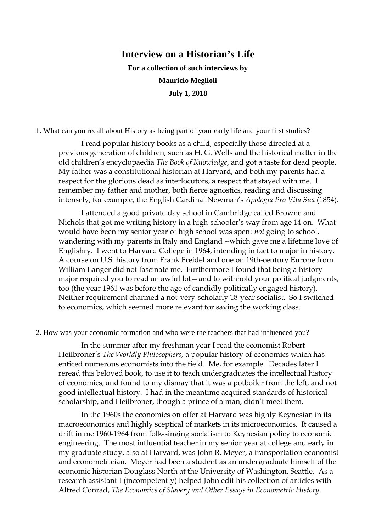# **Interview on a Historian's Life**

**For a collection of such interviews by Mauricio Meglioli July 1, 2018**

1. What can you recall about History as being part of your early life and your first studies?

I read popular history books as a child, especially those directed at a previous generation of children, such as H. G. Wells and the historical matter in the old children's encyclopaedia *The Book of Knowledge*, and got a taste for dead people. My father was a constitutional historian at Harvard, and both my parents had a respect for the glorious dead as interlocutors, a respect that stayed with me. I remember my father and mother, both fierce agnostics, reading and discussing intensely, for example, the English Cardinal Newman's *Apologia Pro Vita Sua* (1854).

I attended a good private day school in Cambridge called Browne and Nichols that got me writing history in a high-schooler's way from age 14 on. What would have been my senior year of high school was spent *not* going to school, wandering with my parents in Italy and England --which gave me a lifetime love of Englishry. I went to Harvard College in 1964, intending in fact to major in history. A course on U.S. history from Frank Freidel and one on 19th-century Europe from William Langer did not fascinate me. Furthermore I found that being a history major required you to read an awful lot—and to withhold your political judgments, too (the year 1961 was before the age of candidly politically engaged history). Neither requirement charmed a not-very-scholarly 18-year socialist. So I switched to economics, which seemed more relevant for saving the working class.

2. How was your economic formation and who were the teachers that had influenced you?

In the summer after my freshman year I read the economist Robert Heilbroner's *The Worldly Philosophers,* a popular history of economics which has enticed numerous economists into the field. Me, for example. Decades later I reread this beloved book, to use it to teach undergraduates the intellectual history of economics, and found to my dismay that it was a potboiler from the left, and not good intellectual history. I had in the meantime acquired standards of historical scholarship, and Heilbroner, though a prince of a man, didn't meet them.

In the 1960s the economics on offer at Harvard was highly Keynesian in its macroeconomics and highly sceptical of markets in its microeconomics. It caused a drift in me 1960-1964 from folk-singing socialism to Keynesian policy to economic engineering. The most influential teacher in my senior year at college and early in my graduate study, also at Harvard, was John R. Meyer, a transportation economist and econometrician. Meyer had been a student as an undergraduate himself of the economic historian Douglass North at the University of Washington, Seattle. As a research assistant I (incompetently) helped John edit his collection of articles with Alfred Conrad, *The Economics of Slavery and Other Essays in Econometric History*.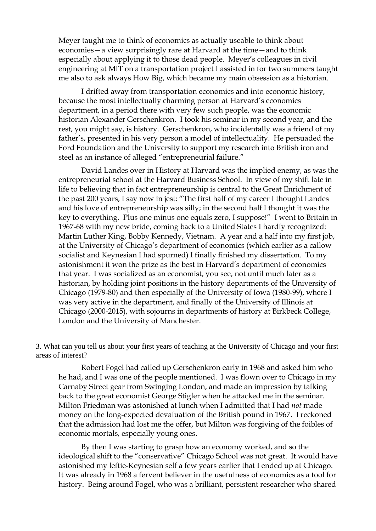Meyer taught me to think of economics as actually useable to think about economies—a view surprisingly rare at Harvard at the time—and to think especially about applying it to those dead people. Meyer's colleagues in civil engineering at MIT on a transportation project I assisted in for two summers taught me also to ask always How Big, which became my main obsession as a historian.

I drifted away from transportation economics and into economic history, because the most intellectually charming person at Harvard's economics department, in a period there with very few such people, was the economic historian Alexander Gerschenkron. I took his seminar in my second year, and the rest, you might say, is history. Gerschenkron, who incidentally was a friend of my father's, presented in his very person a model of intellectuality. He persuaded the Ford Foundation and the University to support my research into British iron and steel as an instance of alleged "entrepreneurial failure."

David Landes over in History at Harvard was the implied enemy, as was the entrepreneurial school at the Harvard Business School. In view of my shift late in life to believing that in fact entrepreneurship is central to the Great Enrichment of the past 200 years, I say now in jest: "The first half of my career I thought Landes and his love of entrepreneurship was silly; in the second half I thought it was the key to everything. Plus one minus one equals zero, I suppose!" I went to Britain in 1967-68 with my new bride, coming back to a United States I hardly recognized: Martin Luther King, Bobby Kennedy, Vietnam. A year and a half into my first job, at the University of Chicago's department of economics (which earlier as a callow socialist and Keynesian I had spurned) I finally finished my dissertation. To my astonishment it won the prize as the best in Harvard's department of economics that year. I was socialized as an economist, you see, not until much later as a historian, by holding joint positions in the history departments of the University of Chicago (1979-80) and then especially of the University of Iowa (1980-99), where I was very active in the department, and finally of the University of Illinois at Chicago (2000-2015), with sojourns in departments of history at Birkbeck College, London and the University of Manchester.

3. What can you tell us about your first years of teaching at the University of Chicago and your first areas of interest?

Robert Fogel had called up Gerschenkron early in 1968 and asked him who he had, and I was one of the people mentioned. I was flown over to Chicago in my Carnaby Street gear from Swinging London, and made an impression by talking back to the great economist George Stigler when he attacked me in the seminar. Milton Friedman was astonished at lunch when I admitted that I had *not* made money on the long-expected devaluation of the British pound in 1967. I reckoned that the admission had lost me the offer, but Milton was forgiving of the foibles of economic mortals, especially young ones.

By then I was starting to grasp how an economy worked, and so the ideological shift to the "conservative" Chicago School was not great. It would have astonished my leftie-Keynesian self a few years earlier that I ended up at Chicago. It was already in 1968 a fervent believer in the usefulness of economics as a tool for history. Being around Fogel, who was a brilliant, persistent researcher who shared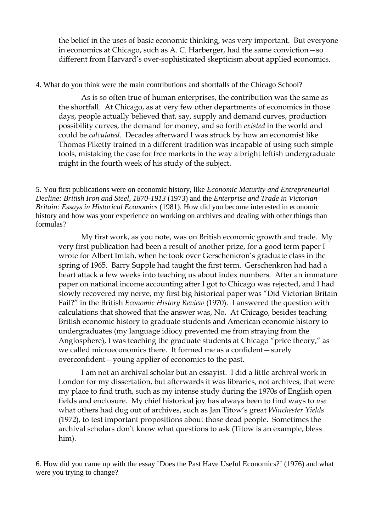the belief in the uses of basic economic thinking, was very important. But everyone in economics at Chicago, such as A. C. Harberger, had the same conviction—so different from Harvard's over-sophisticated skepticism about applied economics.

4. What do you think were the main contributions and shortfalls of the Chicago School?

As is so often true of human enterprises, the contribution was the same as the shortfall. At Chicago, as at very few other departments of economics in those days, people actually believed that, say, supply and demand curves, production possibility curves, the demand for money, and so forth *existed* in the world and could be *calculated*. Decades afterward I was struck by how an economist like Thomas Piketty trained in a different tradition was incapable of using such simple tools, mistaking the case for free markets in the way a bright leftish undergraduate might in the fourth week of his study of the subject.

5. You first publications were on economic history, like *Economic Maturity and Entrepreneurial Decline: British Iron and Steel, 1870-1913* (1973) and the *Enterprise and Trade in Victorian Britain: Essays in Historical Economics* (1981). How did you become interested in economic history and how was your experience on working on archives and dealing with other things than formulas?

My first work, as you note, was on British economic growth and trade. My very first publication had been a result of another prize, for a good term paper I wrote for Albert Imlah, when he took over Gerschenkron's graduate class in the spring of 1965. Barry Supple had taught the first term. Gerschenkron had had a heart attack a few weeks into teaching us about index numbers. After an immature paper on national income accounting after I got to Chicago was rejected, and I had slowly recovered my nerve, my first big historical paper was "Did Victorian Britain Fail?" in the British *Economic History Review* (1970). I answered the question with calculations that showed that the answer was, No. At Chicago, besides teaching British economic history to graduate students and American economic history to undergraduates (my language idiocy prevented me from straying from the Anglosphere), I was teaching the graduate students at Chicago "price theory," as we called microeconomics there. It formed me as a confident—surely overconfident—young applier of economics to the past.

I am not an archival scholar but an essayist. I did a little archival work in London for my dissertation, but afterwards it was libraries, not archives, that were my place to find truth, such as my intense study during the 1970s of English open fields and enclosure. My chief historical joy has always been to find ways to *use* what others had dug out of archives, such as Jan Titow's great *Winchester Yields* (1972), to test important propositions about those dead people. Sometimes the archival scholars don't know what questions to ask (Titow is an example, bless him).

6. How did you came up with the essay ¨Does the Past Have Useful Economics?¨ (1976) and what were you trying to change?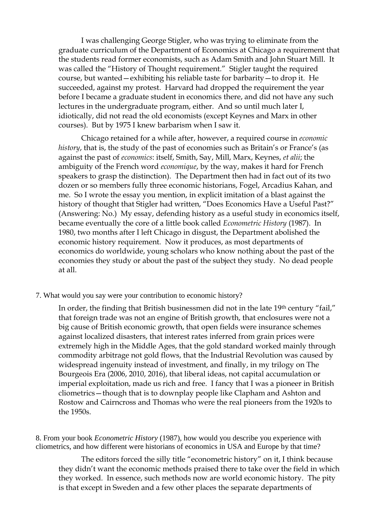I was challenging George Stigler, who was trying to eliminate from the graduate curriculum of the Department of Economics at Chicago a requirement that the students read former economists, such as Adam Smith and John Stuart Mill. It was called the "History of Thought requirement." Stigler taught the required course, but wanted—exhibiting his reliable taste for barbarity—to drop it. He succeeded, against my protest. Harvard had dropped the requirement the year before I became a graduate student in economics there, and did not have any such lectures in the undergraduate program, either. And so until much later I, idiotically, did not read the old economists (except Keynes and Marx in other courses). But by 1975 I knew barbarism when I saw it.

Chicago retained for a while after, however, a required course in *economic history*, that is, the study of the past of economies such as Britain's or France's (as against the past of *economics*: itself, Smith, Say, Mill, Marx, Keynes, *et alii*; the ambiguity of the French word *economique*, by the way, makes it hard for French speakers to grasp the distinction). The Department then had in fact out of its two dozen or so members fully three economic historians, Fogel, Arcadius Kahan, and me. So I wrote the essay you mention, in explicit imitation of a blast against the history of thought that Stigler had written, "Does Economics Have a Useful Past?" (Answering: No.) My essay, defending history as a useful study in economics itself, became eventually the core of a little book called *Econometric History* (1987). In 1980, two months after I left Chicago in disgust, the Department abolished the economic history requirement. Now it produces, as most departments of economics do worldwide, young scholars who know nothing about the past of the economies they study or about the past of the subject they study. No dead people at all.

7. What would you say were your contribution to economic history?

In order, the finding that British businessmen did not in the late 19th century "fail," that foreign trade was not an engine of British growth, that enclosures were not a big cause of British economic growth, that open fields were insurance schemes against localized disasters, that interest rates inferred from grain prices were extremely high in the Middle Ages, that the gold standard worked mainly through commodity arbitrage not gold flows, that the Industrial Revolution was caused by widespread ingenuity instead of investment, and finally, in my trilogy on The Bourgeois Era (2006, 2010, 2016), that liberal ideas, not capital accumulation or imperial exploitation, made us rich and free. I fancy that I was a pioneer in British cliometrics—though that is to downplay people like Clapham and Ashton and Rostow and Cairncross and Thomas who were the real pioneers from the 1920s to the 1950s.

8. From your book *Econometric History* (1987), how would you describe you experience with cliometrics, and how different were historians of economics in USA and Europe by that time?

The editors forced the silly title "econometric history" on it, I think because they didn't want the economic methods praised there to take over the field in which they worked. In essence, such methods now are world economic history. The pity is that except in Sweden and a few other places the separate departments of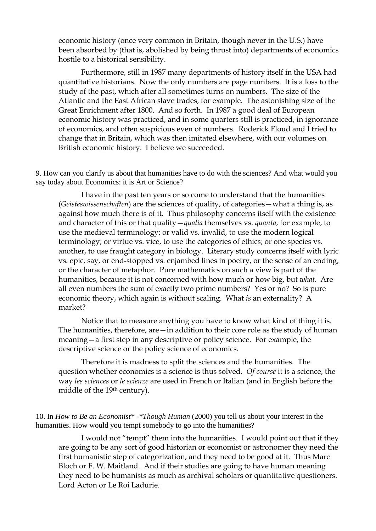economic history (once very common in Britain, though never in the U.S.) have been absorbed by (that is, abolished by being thrust into) departments of economics hostile to a historical sensibility.

Furthermore, still in 1987 many departments of history itself in the USA had quantitative historians. Now the only numbers are page numbers. It is a loss to the study of the past, which after all sometimes turns on numbers. The size of the Atlantic and the East African slave trades, for example. The astonishing size of the Great Enrichment after 1800. And so forth. In 1987 a good deal of European economic history was practiced, and in some quarters still is practiced, in ignorance of economics, and often suspicious even of numbers. Roderick Floud and I tried to change that in Britain, which was then imitated elsewhere, with our volumes on British economic history. I believe we succeeded.

9. How can you clarify us about that humanities have to do with the sciences? And what would you say today about Economics: it is Art or Science?

I have in the past ten years or so come to understand that the humanities (*Geisteswissenschaften*) are the sciences of quality, of categories—what a thing is, as against how much there is of it. Thus philosophy concerns itself with the existence and character of this or that quality—*qualia* themselves vs. *quanta*, for example, to use the medieval terminology; or valid vs. invalid, to use the modern logical terminology; or virtue vs. vice, to use the categories of ethics; or one species vs. another, to use fraught category in biology. Literary study concerns itself with lyric vs. epic, say, or end-stopped vs. enjambed lines in poetry, or the sense of an ending, or the character of metaphor. Pure mathematics on such a view is part of the humanities, because it is not concerned with how much or how big, but *what*. Are all even numbers the sum of exactly two prime numbers? Yes or no? So is pure economic theory, which again is without scaling. What *is* an externality? A market?

Notice that to measure anything you have to know what kind of thing it is. The humanities, therefore, are — in addition to their core role as the study of human meaning—a first step in any descriptive or policy science. For example, the descriptive science or the policy science of economics.

Therefore it is madness to split the sciences and the humanities. The question whether economics is a science is thus solved. *Of course* it is a science, the way *les sciences* or *le scienze* are used in French or Italian (and in English before the middle of the 19th century).

10. In *How to Be an Economist\* -\*Though Human* (2000) you tell us about your interest in the humanities. How would you tempt somebody to go into the humanities?

I would not "tempt" them into the humanities. I would point out that if they are going to be any sort of good historian or economist or astronomer they need the first humanistic step of categorization, and they need to be good at it. Thus Marc Bloch or F. W. Maitland. And if their studies are going to have human meaning they need to be humanists as much as archival scholars or quantitative questioners. Lord Acton or Le Roi Ladurie.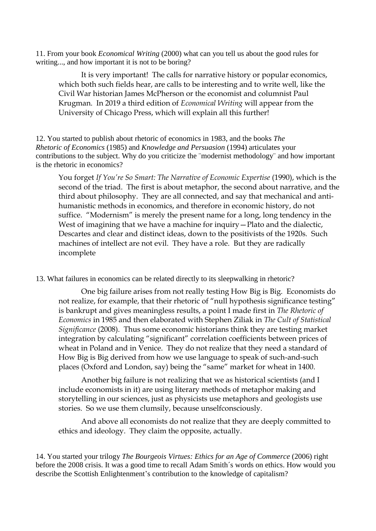11. From your book *Economical Writing* (2000) what can you tell us about the good rules for writing..., and how important it is not to be boring?

It is very important! The calls for narrative history or popular economics, which both such fields hear, are calls to be interesting and to write well, like the Civil War historian James McPherson or the economist and columnist Paul Krugman. In 2019 a third edition of *Economical Writing* will appear from the University of Chicago Press, which will explain all this further!

12. You started to publish about rhetoric of economics in 1983, and the books *The Rhetoric of Economics* (1985) and *Knowledge and Persuasion* (1994) articulates your contributions to the subject. Why do you criticize the ¨modernist methodology¨ and how important is the rhetoric in economics?

You forget *If You're So Smart: The Narrative of Economic Expertise* (1990), which is the second of the triad. The first is about metaphor, the second about narrative, and the third about philosophy. They are all connected, and say that mechanical and antihumanistic methods in economics, and therefore in economic history, do not suffice. "Modernism" is merely the present name for a long, long tendency in the West of imagining that we have a machine for inquiry – Plato and the dialectic, Descartes and clear and distinct ideas, down to the positivists of the 1920s. Such machines of intellect are not evil. They have a role. But they are radically incomplete

13. What failures in economics can be related directly to its sleepwalking in rhetoric?

One big failure arises from not really testing How Big is Big. Economists do not realize, for example, that their rhetoric of "null hypothesis significance testing" is bankrupt and gives meaningless results, a point I made first in *The Rhetoric of Economics* in 1985 and then elaborated with Stephen Ziliak in *The Cult of Statistical Significance* (2008). Thus some economic historians think they are testing market integration by calculating "significant" correlation coefficients between prices of wheat in Poland and in Venice. They do not realize that they need a standard of How Big is Big derived from how we use language to speak of such-and-such places (Oxford and London, say) being the "same" market for wheat in 1400.

Another big failure is not realizing that we as historical scientists (and I include economists in it) are using literary methods of metaphor making and storytelling in our sciences, just as physicists use metaphors and geologists use stories. So we use them clumsily, because unselfconsciously.

And above all economists do not realize that they are deeply committed to ethics and ideology. They claim the opposite, actually.

14. You started your trilogy *The Bourgeois Virtues: Ethics for an Age of Commerce* (2006) right before the 2008 crisis. It was a good time to recall Adam Smith´s words on ethics. How would you describe the Scottish Enlightenment's contribution to the knowledge of capitalism?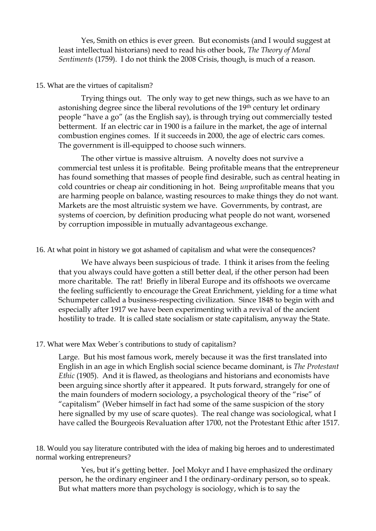Yes, Smith on ethics is ever green. But economists (and I would suggest at least intellectual historians) need to read his other book, *The Theory of Moral Sentiments* (1759). I do not think the 2008 Crisis, though, is much of a reason.

### 15. What are the virtues of capitalism?

Trying things out. The only way to get new things, such as we have to an astonishing degree since the liberal revolutions of the 19th century let ordinary people "have a go" (as the English say), is through trying out commercially tested betterment. If an electric car in 1900 is a failure in the market, the age of internal combustion engines comes. If it succeeds in 2000, the age of electric cars comes. The government is ill-equipped to choose such winners.

The other virtue is massive altruism. A novelty does not survive a commercial test unless it is profitable. Being profitable means that the entrepreneur has found something that masses of people find desirable, such as central heating in cold countries or cheap air conditioning in hot. Being *un*profitable means that you are harming people on balance, wasting resources to make things they do not want. Markets are the most altruistic system we have. Governments, by contrast, are systems of coercion, by definition producing what people do not want, worsened by corruption impossible in mutually advantageous exchange.

16. At what point in history we got ashamed of capitalism and what were the consequences?

We have always been suspicious of trade. I think it arises from the feeling that you always could have gotten a still better deal, if the other person had been more charitable. The rat! Briefly in liberal Europe and its offshoots we overcame the feeling sufficiently to encourage the Great Enrichment, yielding for a time what Schumpeter called a business-respecting civilization. Since 1848 to begin with and especially after 1917 we have been experimenting with a revival of the ancient hostility to trade. It is called state socialism or state capitalism, anyway the State.

### 17. What were Max Weber´s contributions to study of capitalism?

Large. But his most famous work, merely because it was the first translated into English in an age in which English social science became dominant, is *The Protestant Ethic* (1905). And it is flawed, as theologians and historians and economists have been arguing since shortly after it appeared. It puts forward, strangely for one of the main founders of modern sociology, a psychological theory of the "rise" of "capitalism" (Weber himself in fact had some of the same suspicion of the story here signalled by my use of scare quotes). The real change was sociological, what I have called the Bourgeois Revaluation after 1700, not the Protestant Ethic after 1517.

18. Would you say literature contributed with the idea of making big heroes and to underestimated normal working entrepreneurs?

Yes, but it's getting better. Joel Mokyr and I have emphasized the ordinary person, he the ordinary engineer and I the ordinary-ordinary person, so to speak. But what matters more than psychology is sociology, which is to say the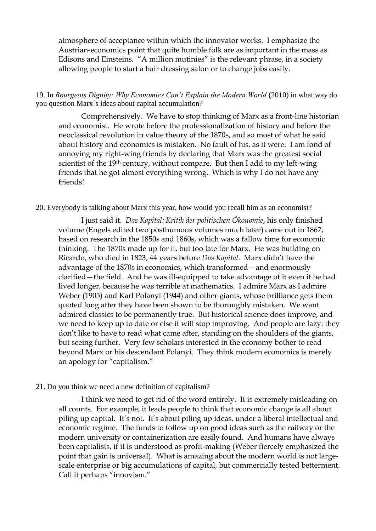atmosphere of acceptance within which the innovator works. I emphasize the Austrian-economics point that quite humble folk are as important in the mass as Edisons and Einsteins. "A million mutinies" is the relevant phrase, in a society allowing people to start a hair dressing salon or to change jobs easily.

19. In *Bourgeois Dignity: Why Economics Can't Explain the Modern World* (2010) in what way do you question Marx´s ideas about capital accumulation?

Comprehensively. We have to stop thinking of Marx as a front-line historian and economist. He wrote before the professionalization of history and before the neoclassical revolution in value theory of the 1870s, and so most of what he said about history and economics is mistaken. No fault of his, as it were. I am fond of annoying my right-wing friends by declaring that Marx was the greatest social scientist of the 19<sup>th</sup> century, without compare. But then I add to my left-wing friends that he got almost everything wrong. Which is why I do not have any friends!

### 20. Everybody is talking about Marx this year, how would you recall him as an economist?

I just said it. *Das Kapital: Kritik der politischen Ökonomie*, his only finished volume (Engels edited two posthumous volumes much later) came out in 1867, based on research in the 1850s and 1860s, which was a fallow time for economic thinking. The 1870s made up for it, but too late for Marx. He was building on Ricardo, who died in 1823, 44 years before *Das Kapital*. Marx didn't have the advantage of the 1870s in economics, which transformed—and enormously clarified—the field. And he was ill-equipped to take advantage of it even if he had lived longer, because he was terrible at mathematics. I admire Marx as I admire Weber (1905) and Karl Polanyi (1944) and other giants, whose brilliance gets them quoted long after they have been shown to be thoroughly mistaken. We want admired classics to be permanently true. But historical science does improve, and we need to keep up to date or else it will stop improving. And people are lazy: they don't like to have to read what came after, standing on the shoulders of the giants, but seeing further. Very few scholars interested in the economy bother to read beyond Marx or his descendant Polanyi. They think modern economics is merely an apology for "capitalism."

#### 21. Do you think we need a new definition of capitalism?

I think we need to get rid of the word entirely. It is extremely misleading on all counts. For example, it leads people to think that economic change is all about piling up capital. It's not. It's about piling up ideas, under a liberal intellectual and economic regime. The funds to follow up on good ideas such as the railway or the modern university or containerization are easily found. And humans have always been capitalists, if it is understood as profit-making (Weber fiercely emphasized the point that gain is universal). What is amazing about the modern world is not largescale enterprise or big accumulations of capital, but commercially tested betterment. Call it perhaps "innovism."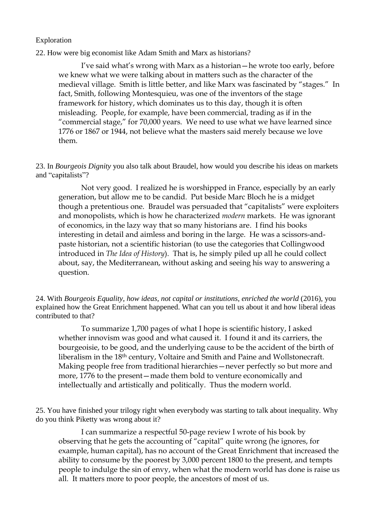### Exploration

22. How were big economist like Adam Smith and Marx as historians?

I've said what's wrong with Marx as a historian—he wrote too early, before we knew what we were talking about in matters such as the character of the medieval village. Smith is little better, and like Marx was fascinated by "stages." In fact, Smith, following Montesquieu, was one of the inventors of the stage framework for history, which dominates us to this day, though it is often misleading. People, for example, have been commercial, trading as if in the "commercial stage," for 70,000 years. We need to use what we have learned since 1776 or 1867 or 1944, not believe what the masters said merely because we love them.

23. In *Bourgeois Dignity* you also talk about Braudel, how would you describe his ideas on markets and "capitalists"?

Not very good. I realized he is worshipped in France, especially by an early generation, but allow me to be candid. Put beside Marc Bloch he is a midget though a pretentious one. Braudel was persuaded that "capitalists" were exploiters and monopolists, which is how he characterized *modern* markets. He was ignorant of economics, in the lazy way that so many historians are. I find his books interesting in detail and aimless and boring in the large. He was a scissors-andpaste historian, not a scientific historian (to use the categories that Collingwood introduced in *The Idea of History*). That is, he simply piled up all he could collect about, say, the Mediterranean, without asking and seeing his way to answering a question.

24. With *Bourgeois Equality, how ideas, not capital or institutions, enriched the world* (2016), you explained how the Great Enrichment happened. What can you tell us about it and how liberal ideas contributed to that?

To summarize 1,700 pages of what I hope is scientific history, I asked whether innovism was good and what caused it. I found it and its carriers, the bourgeoisie, to be good, and the underlying cause to be the accident of the birth of liberalism in the 18th century, Voltaire and Smith and Paine and Wollstonecraft. Making people free from traditional hierarchies—never perfectly so but more and more, 1776 to the present—made them bold to venture economically and intellectually and artistically and politically. Thus the modern world.

25. You have finished your trilogy right when everybody was starting to talk about inequality. Why do you think Piketty was wrong about it?

I can summarize a respectful 50-page review I wrote of his book by observing that he gets the accounting of "capital" quite wrong (he ignores, for example, human capital), has no account of the Great Enrichment that increased the ability to consume by the poorest by 3,000 percent 1800 to the present, and tempts people to indulge the sin of envy, when what the modern world has done is raise us all. It matters more to poor people, the ancestors of most of us.